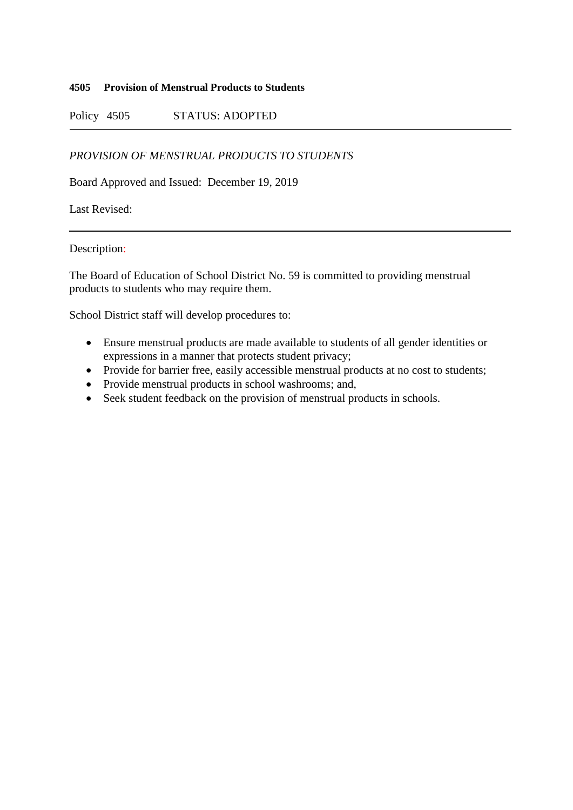## **4505 Provision of Menstrual Products to Students**

Policy 4505 STATUS: ADOPTED

## *PROVISION OF MENSTRUAL PRODUCTS TO STUDENTS*

Board Approved and Issued: December 19, 2019

Last Revised:

Description:

The Board of Education of School District No. 59 is committed to providing menstrual products to students who may require them.

School District staff will develop procedures to:

- Ensure menstrual products are made available to students of all gender identities or expressions in a manner that protects student privacy;
- Provide for barrier free, easily accessible menstrual products at no cost to students;
- Provide menstrual products in school washrooms; and,
- Seek student feedback on the provision of menstrual products in schools.